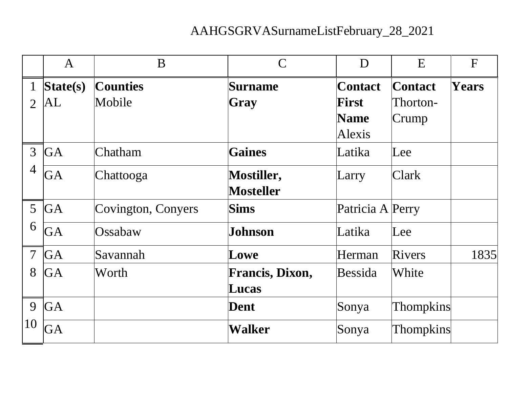## AAHGSGRVASurnameListFebruary\_28\_2021

|                 | $\mathbf{A}$           | B                  | $\mathcal{C}$          | D                | E                | F            |
|-----------------|------------------------|--------------------|------------------------|------------------|------------------|--------------|
|                 | S <sub>t</sub> ate(s)  | <b>Counties</b>    | <b>Surname</b>         | <b>Contact</b>   | <b>Contact</b>   | <b>Years</b> |
| $\overline{2}$  | $\vert {\rm AL} \vert$ | Mobile             | Gray                   | <b>First</b>     | Thorton-         |              |
|                 |                        |                    |                        | <b>Name</b>      | Crump            |              |
|                 |                        |                    |                        | Alexis           |                  |              |
| $\overline{3}$  | <b>GA</b>              | Chatham            | <b>Gaines</b>          | Latika           | $\text{Lee}$     |              |
| $\overline{4}$  | GA                     | Chattooga          | <b>Mostiller,</b>      | Larry            | <b>Clark</b>     |              |
|                 |                        |                    | <b>Mosteller</b>       |                  |                  |              |
| $5\overline{)}$ | <b>GA</b>              | Covington, Conyers | Sims                   | Patricia A Perry |                  |              |
| 6               | <b>GA</b>              | Ossabaw            | Johnson                | Latika           | $\text{Lee}$     |              |
| $\overline{7}$  | <b>GA</b>              | Savannah           | Lowe                   | Herman           | Rivers           | 1835         |
| 8               | <b>GA</b>              | Worth              | <b>Francis, Dixon,</b> | <b>Bessida</b>   | White            |              |
|                 |                        |                    | Lucas                  |                  |                  |              |
| 9               | <b>GA</b>              |                    | <b>Dent</b>            | Sonya            | <b>Thompkins</b> |              |
| 10              | GA                     |                    | Walker                 | Sonya            | <b>Thompkins</b> |              |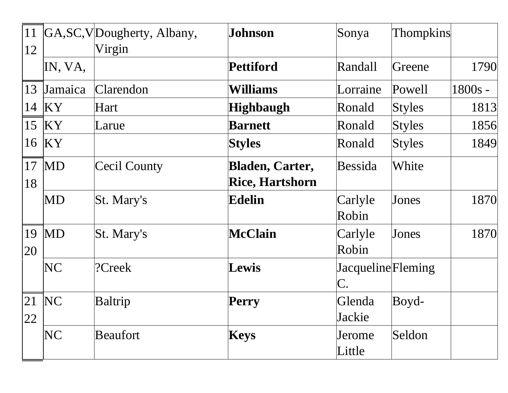| 11<br>12 |                              | GA, SC, VDougherty, Albany,<br>Virgin | Johnson                                          | Sonya                   | <b>Thompkins</b> |           |
|----------|------------------------------|---------------------------------------|--------------------------------------------------|-------------------------|------------------|-----------|
|          | IN, VA,                      |                                       | <b>Pettiford</b>                                 | Randall                 | Greene           | 1790      |
| 13       | <i><u><b>Jamaica</b></u></i> | Clarendon                             | Williams                                         | Lorraine                | Powell           | $1800s -$ |
| 14       | KY                           | Hart                                  | <b>Highbaugh</b>                                 | Ronald                  | <b>Styles</b>    | 1813      |
| 15       | KY                           | Larue                                 | <b>Barnett</b>                                   | Ronald                  | <b>Styles</b>    | 1856      |
| 16       | $\overline{\text{KY}}$       |                                       | <b>Styles</b>                                    | Ronald                  | <b>Styles</b>    | 1849      |
| 17<br>18 | <b>MD</b>                    | Cecil County                          | <b>Bladen, Carter,</b><br><b>Rice, Hartshorn</b> | <b>Bessida</b>          | White            |           |
|          | MD                           | St. Mary's                            | <b>Edelin</b>                                    | Carlyle<br>Robin        | Jones            | 1870      |
| 20       | $19$ MD                      | St. Mary's                            | <b>McClain</b>                                   | Carlyle<br>Robin        | Jones            | 1870      |
|          | NC                           | ?Creek                                | Lewis                                            | JacquelineFleming<br>C. |                  |           |
| 22       | $21$ NC                      | Baltrip                               | Perry                                            | Glenda<br>Jackie        | Boyd-            |           |
|          | NC                           | <b>Beaufort</b>                       | <b>Keys</b>                                      | Jerome<br>Little        | Seldon           |           |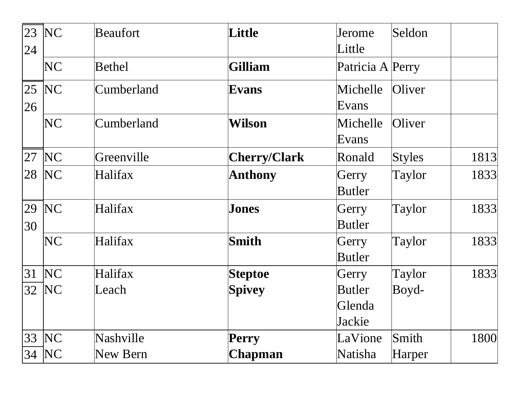| 23<br>24 | NC        | Beaufort   | Little              | Jerome<br>Little                  | Seldon        |      |
|----------|-----------|------------|---------------------|-----------------------------------|---------------|------|
|          | NC        | Bethel     | <b>Gilliam</b>      | Patricia A Perry                  |               |      |
| 26       | $ 25 $ NC | Cumberland | <b>Evans</b>        | Michelle<br>Evans                 | Oliver        |      |
|          | NC        | Cumberland | Wilson              | Michelle<br>Evans                 | Oliver        |      |
| 27       | NC        | Greenville | <b>Cherry/Clark</b> | Ronald                            | <b>Styles</b> | 1813 |
| 28       | NC        | Halifax    | <b>Anthony</b>      | Gerry<br><b>Butler</b>            | Taylor        | 1833 |
| 30       | 29 NC     | Halifax    | Jones               | Gerry<br><b>Butler</b>            | Taylor        | 1833 |
|          | NC        | Halifax    | <b>Smith</b>        | Gerry<br><b>Butler</b>            | Taylor        | 1833 |
| 31       | NC        | Halifax    | <b>Steptoe</b>      | Gerry                             | Taylor        | 1833 |
|          | 32 NC     | Leach      | <b>Spivey</b>       | <b>Butler</b><br>Glenda<br>Jackie | Boyd-         |      |
| 33       | NC        | Nashville  | <b>Perry</b>        | LaVione                           | Smith         | 1800 |
| 34       | NC        | New Bern   | <b>Chapman</b>      | Natisha                           | Harper        |      |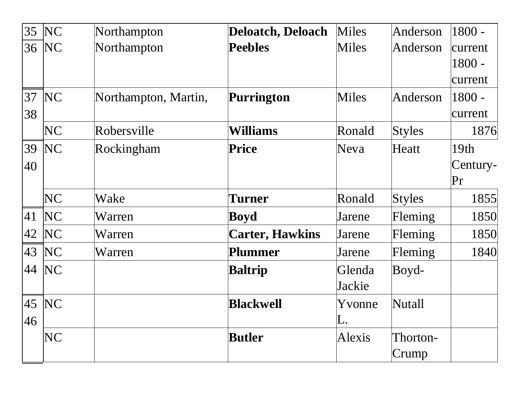| 35           | NC        | Northampton          | <b>Deloatch, Deloach</b> | Miles            | Anderson          | $1800 -$                       |
|--------------|-----------|----------------------|--------------------------|------------------|-------------------|--------------------------------|
|              | 36   NC   | Northampton          | <b>Peebles</b>           | <b>Miles</b>     | Anderson          | current<br>$1800 -$<br>current |
| 37 <br>38    | NC        | Northampton, Martin, | <b>Purrington</b>        | <b>Miles</b>     | Anderson          | $1800 -$<br>current            |
|              | <b>NC</b> | Robersville          | <b>Williams</b>          | Ronald           | <b>Styles</b>     | 1876                           |
| 39<br>40     | NC        | Rockingham           | <b>Price</b>             | Neva             | Heatt             | 19th<br>Century-<br>Pr         |
|              | <b>NC</b> | Wake                 | Turner                   | Ronald           | <b>Styles</b>     | 1855                           |
| 41           | NC        | Warren               | <b>Boyd</b>              | Jarene           | Fleming           | 1850                           |
| 42           | NC        | Warren               | <b>Carter, Hawkins</b>   | Jarene           | Fleming           | 1850                           |
| $ 43\rangle$ | NC        | Warren               | Plummer                  | Jarene           | Fleming           | 1840                           |
| 44           | NC        |                      | <b>Baltrip</b>           | Glenda<br>Jackie | Boyd-             |                                |
| 46           | 45   NC   |                      | <b>Blackwell</b>         | Yvonne<br>L.     | Nutall            |                                |
|              | NC        |                      | <b>Butler</b>            | Alexis           | Thorton-<br>Crump |                                |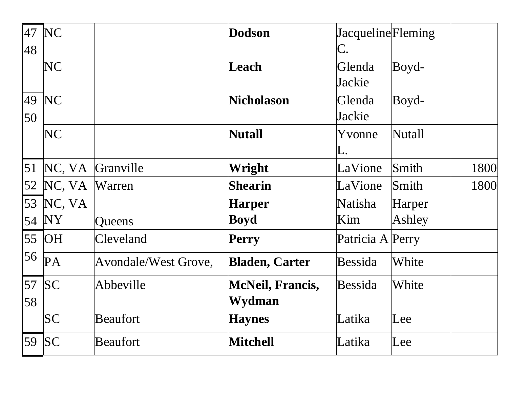| 47<br>48 | NC             |                      | <b>Dodson</b>           | JacquelineFleming<br>C. |        |      |
|----------|----------------|----------------------|-------------------------|-------------------------|--------|------|
|          | N <sub>C</sub> |                      | Leach                   | Glenda<br>Jackie        | Boyd-  |      |
| 49<br>50 | NC             |                      | <b>Nicholason</b>       | Glenda<br>Jackie        | Boyd-  |      |
|          | NC             |                      | <b>Nutall</b>           | Yvonne<br>L.            | Nutall |      |
|          | 51 NC, VA      | Granville            | Wright                  | LaVione                 | Smith  | 1800 |
| 52       | NC, VA         | Warren               | <b>Shearin</b>          | LaVione                 | Smith  | 1800 |
| 53       | NC, VA         |                      | <b>Harper</b>           | Natisha                 | Harper |      |
| 54       | <b>NY</b>      | Queens               | Boyd                    | Kim                     | Ashley |      |
| 55       | <b>OH</b>      | Cleveland            | <b>Perry</b>            | Patricia A Perry        |        |      |
| 56       | PA             | Avondale/West Grove, | <b>Bladen, Carter</b>   | <b>Bessida</b>          | White  |      |
| 57       | SC             | Abbeville            | <b>McNeil, Francis,</b> | <b>Bessida</b>          | White  |      |
| 58       |                |                      | Wydman                  |                         |        |      |
|          | SC             | <b>Beaufort</b>      | <b>Haynes</b>           | Latika                  | Lee    |      |
|          | 59 SC          | <b>Beaufort</b>      | <b>Mitchell</b>         | Latika                  | Lee    |      |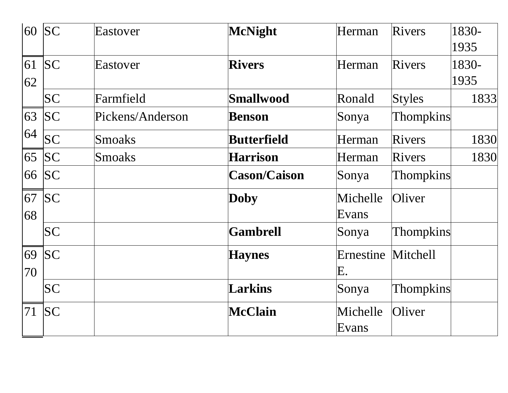|          | $60$ SC   | Eastover         | <b>McNight</b>      | Herman            | <b>Rivers</b>    | 1830-<br>1935 |
|----------|-----------|------------------|---------------------|-------------------|------------------|---------------|
| 62       | $61$ SC   | Eastover         | <b>Rivers</b>       | Herman            | <b>Rivers</b>    | 1830-<br>1935 |
|          | SC        | Farmfield        | <b>Smallwood</b>    | Ronald            | <b>Styles</b>    | 1833          |
|          | 63 SC     | Pickens/Anderson | <b>Benson</b>       | Sonya             | <b>Thompkins</b> |               |
| 64       | SC        | <b>Smoaks</b>    | <b>Butterfield</b>  | Herman            | <b>Rivers</b>    | 1830          |
|          | 65 SC     | <b>Smoaks</b>    | <b>Harrison</b>     | Herman            | <b>Rivers</b>    | 1830          |
| 66       | SC        |                  | <b>Cason/Caison</b> | Sonya             | <b>Thompkins</b> |               |
| 68       | 67 SC     |                  | <b>Doby</b>         | Michelle<br>Evans | Oliver           |               |
|          | <b>SC</b> |                  | <b>Gambrell</b>     | Sonya             | <b>Thompkins</b> |               |
| 69<br>70 | SC        |                  | <b>Haynes</b>       | Ernestine<br>Е.   | Mitchell         |               |
|          | <b>SC</b> |                  | <b>Larkins</b>      | Sonya             | <b>Thompkins</b> |               |
|          | $71$ SC   |                  | <b>McClain</b>      | Michelle<br>Evans | Oliver           |               |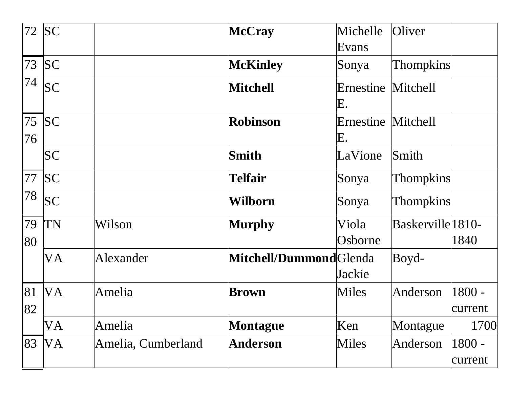| 72       | SC        |                    | McCray                 | Michelle                 | Oliver            |                     |
|----------|-----------|--------------------|------------------------|--------------------------|-------------------|---------------------|
|          |           |                    |                        | Evans                    |                   |                     |
|          | 73 SC     |                    | <b>McKinley</b>        | Sonya                    | <b>Thompkins</b>  |                     |
| 74       | SC        |                    | <b>Mitchell</b>        | Ernestine Mitchell<br>E. |                   |                     |
| 76       | 75 SC     |                    | <b>Robinson</b>        | Ernestine<br>Ε.          | <b>Mitchell</b>   |                     |
|          | <b>SC</b> |                    | <b>Smith</b>           | LaVione                  | Smith             |                     |
|          | 77 SC     |                    | <b>Telfair</b>         | Sonya                    | <b>Thompkins</b>  |                     |
| 78       | SC        |                    | Wilborn                | Sonya                    | <b>Thompkins</b>  |                     |
| 79<br>80 | <b>TN</b> | Wilson             | <b>Murphy</b>          | Viola<br>Osborne         | Baskerville 1810- | 1840                |
|          | VA        | Alexander          | Mitchell/DummondGlenda | Jackie                   | Boyd-             |                     |
| 81<br>82 | <b>VA</b> | Amelia             | <b>Brown</b>           | Miles                    | Anderson          | 1800 -<br>current   |
|          | VA        | Amelia             | <b>Montague</b>        | Ken                      | Montague          | 1700                |
| 83       | VA        | Amelia, Cumberland | <b>Anderson</b>        | <b>Miles</b>             | Anderson          | $1800 -$<br>current |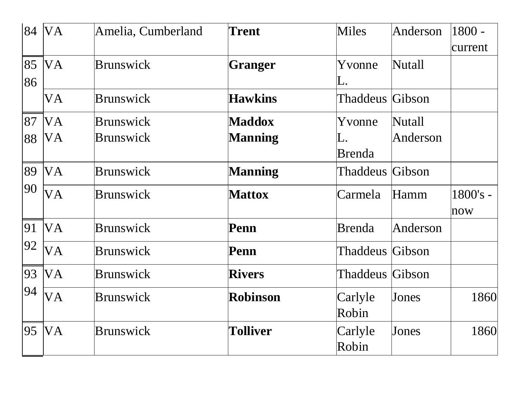|    | 84 VA     | Amelia, Cumberland | <b>Trent</b>    | <b>Miles</b>    | Anderson | 1800 -   |
|----|-----------|--------------------|-----------------|-----------------|----------|----------|
|    |           |                    |                 |                 |          | current  |
| 85 | <b>VA</b> | <b>Brunswick</b>   | <b>Granger</b>  | Yvonne          | Nutall   |          |
| 86 |           |                    |                 | L.              |          |          |
|    | VA        | <b>Brunswick</b>   | <b>Hawkins</b>  | Thaddeus Gibson |          |          |
| 87 | <b>VA</b> | <b>Brunswick</b>   | <b>Maddox</b>   | Yvonne          | Nutall   |          |
| 88 | VA        | <b>Brunswick</b>   | <b>Manning</b>  | L.              | Anderson |          |
|    |           |                    |                 | <b>Brenda</b>   |          |          |
| 89 | <b>VA</b> | <b>Brunswick</b>   | <b>Manning</b>  | Thaddeus Gibson |          |          |
| 90 | <b>VA</b> | <b>Brunswick</b>   | <b>Mattox</b>   | Carmela         | Hamm     | 1800's - |
|    |           |                    |                 |                 |          | now      |
| 91 | <b>VA</b> | <b>Brunswick</b>   | Penn            | <b>Brenda</b>   | Anderson |          |
| 92 | VA        | <b>Brunswick</b>   | Penn            | Thaddeus Gibson |          |          |
| 93 | <b>VA</b> | <b>Brunswick</b>   | <b>Rivers</b>   | Thaddeus Gibson |          |          |
| 94 | <b>VA</b> | <b>Brunswick</b>   | <b>Robinson</b> | Carlyle         | Jones    | 1860     |
|    |           |                    |                 | Robin           |          |          |
| 95 | <b>VA</b> | <b>Brunswick</b>   | <b>Tolliver</b> | Carlyle         | Jones    | 1860     |
|    |           |                    |                 | Robin           |          |          |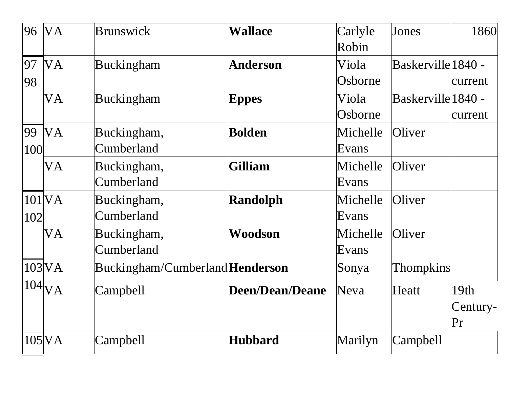| 96  | <b>VA</b>          | <b>Brunswick</b>                | <b>Wallace</b>         | Carlyle  | Jones              | 1860     |
|-----|--------------------|---------------------------------|------------------------|----------|--------------------|----------|
|     |                    |                                 |                        | Robin    |                    |          |
| 97  | <b>VA</b>          | Buckingham                      | <b>Anderson</b>        | Viola    | Baskerville 1840 - |          |
| 98  |                    |                                 |                        | Osborne  |                    | current  |
|     | VA                 | Buckingham                      | <b>Eppes</b>           | Viola    | Baskerville 1840 - |          |
|     |                    |                                 |                        | Osborne  |                    | current  |
| 99  | <b>VA</b>          | Buckingham,                     | <b>Bolden</b>          | Michelle | Oliver             |          |
| 100 |                    | Cumberland                      |                        | Evans    |                    |          |
|     | VA                 | Buckingham,                     | <b>Gilliam</b>         | Michelle | Oliver             |          |
|     |                    | Cumberland                      |                        | Evans    |                    |          |
|     | $101$ $VA$         | Buckingham,                     | <b>Randolph</b>        | Michelle | Oliver             |          |
| 102 |                    | Cumberland                      |                        | Evans    |                    |          |
|     | VA                 | Buckingham,                     | Woodson                | Michelle | Oliver             |          |
|     |                    | Cumberland                      |                        | Evans    |                    |          |
|     | $103$ VA           | Buckingham/Cumberland Henderson |                        | Sonya    | <b>Thompkins</b>   |          |
|     | $104\overline{VA}$ | <b>Campbell</b>                 | <b>Deen/Dean/Deane</b> | Neva     | Heatt              | 19th     |
|     |                    |                                 |                        |          |                    | Century- |
|     |                    |                                 |                        |          |                    | Pr       |
|     | $105$ $\text{VA}$  | Campbell                        | <b>Hubbard</b>         | Marilyn  | Campbell           |          |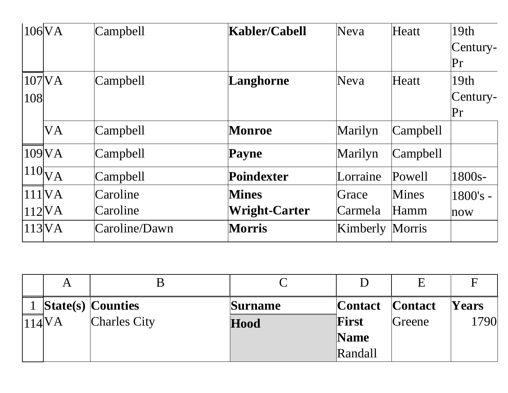|                    | $106\text{VA}$     | Campbell      | <b>Kabler/Cabell</b> | Neva                   | Heatt        | 19th<br>Century-<br>Pr |
|--------------------|--------------------|---------------|----------------------|------------------------|--------------|------------------------|
| 108                | $107$ $VA$         | Campbell      | Langhorne            | Neva                   | Heatt        | 19th<br>Century-<br>Pr |
|                    | <b>VA</b>          | Campbell      | Monroe               | Marilyn                | Campbell     |                        |
|                    | 109 <sup>V</sup> A | Campbell      | Payne                | Marilyn                | Campbell     |                        |
|                    | $110\overline{VA}$ | Campbell      | Poindexter           | Lorraine               | Powell       | 1800s-                 |
|                    | 111VA              | Caroline      | <b>Mines</b>         | Grace                  | <b>Mines</b> | $1800's -$             |
|                    | $112\text{VA}$     | Caroline      | Wright-Carter        | Carmela                | Hamm         | now                    |
| 113 <sub>N</sub> A |                    | Caroline/Dawn | <b>Morris</b>        | <b>Kimberly Morris</b> |              |                        |

|                    | А |                          |                |                 | E      |              |
|--------------------|---|--------------------------|----------------|-----------------|--------|--------------|
|                    |   | <b>State(s) Counties</b> | <b>Surname</b> | Contact Contact |        | <b>Years</b> |
| 114 <sup>V</sup> A |   | <b>Charles City</b>      | Hood           | First           | Greene | 1790         |
|                    |   |                          |                | <b>Name</b>     |        |              |
|                    |   |                          |                | Randall         |        |              |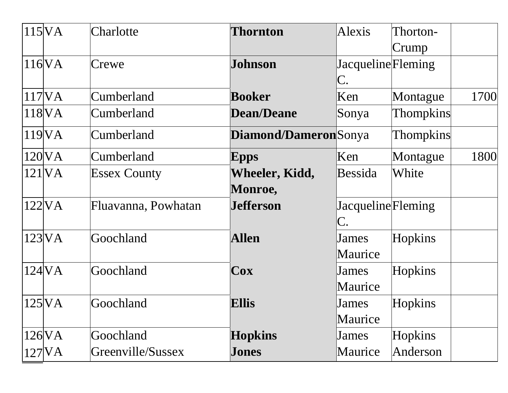| $115\text{VA}$         | Charlotte           | <b>Thornton</b>       | Alexis            | Thorton-         |      |
|------------------------|---------------------|-----------------------|-------------------|------------------|------|
|                        |                     |                       |                   | Crump            |      |
| $116\text{VA}$         | Crewe               | <b>Johnson</b>        | JacquelineFleming |                  |      |
|                        |                     |                       | C.                |                  |      |
| 117 <sub>N</sub>       | Cumberland          | <b>Booker</b>         | Ken               | Montague         | 1700 |
| 118 <sup>V</sup> A     | Cumberland          | <b>Dean/Deane</b>     | Sonya             | <b>Thompkins</b> |      |
| 119 <sup>V</sup> A     | Cumberland          | Diamond/DameronSonya  |                   | <b>Thompkins</b> |      |
| $120\text{VA}$         | Cumberland          | <b>Epps</b>           | Ken               | Montague         | 1800 |
| $121$ $\overline{VA}$  | <b>Essex County</b> | <b>Wheeler, Kidd,</b> | Bessida           | White            |      |
|                        |                     | <b>Monroe,</b>        |                   |                  |      |
| $122$ VA               | Fluavanna, Powhatan | <b>Jefferson</b>      | JacquelineFleming |                  |      |
|                        |                     |                       | C.                |                  |      |
| $123\text{VA}$         | Goochland           | <b>Allen</b>          | James             | Hopkins          |      |
|                        |                     |                       | Maurice           |                  |      |
| $124\text{VA}$         | Goochland           | Cox                   | James             | Hopkins          |      |
|                        |                     |                       | Maurice           |                  |      |
| $125\text{VA}$         | Goochland           | <b>Ellis</b>          | James             | Hopkins          |      |
|                        |                     |                       | Maurice           |                  |      |
| $126$ <sub>N</sub> $A$ | Goochland           | <b>Hopkins</b>        | James             | Hopkins          |      |
| $127$ $NA$             | Greenville/Sussex   | <b>Jones</b>          | Maurice           | Anderson         |      |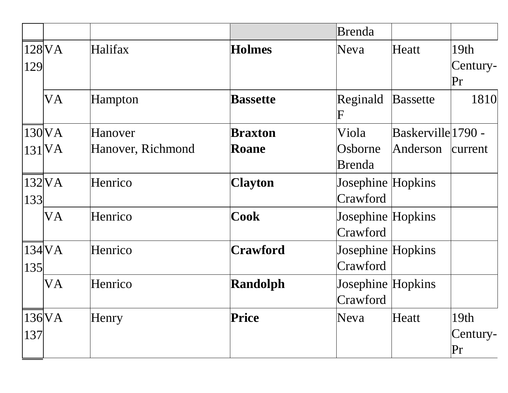|     |                        |                   |                 | <b>Brenda</b>                 |                    |                        |
|-----|------------------------|-------------------|-----------------|-------------------------------|--------------------|------------------------|
| 129 | $128$ <sub>N</sub> $A$ | <b>Halifax</b>    | <b>Holmes</b>   | Neva                          | Heatt              | 19th<br>Century-<br>Pr |
|     | VA                     | Hampton           | <b>Bassette</b> | Reginald<br>F                 | <b>Bassette</b>    | 1810                   |
|     | $130\text{VA}$         | Hanover           | <b>Braxton</b>  | Viola                         | Baskerville 1790 - |                        |
|     | $131$ $\text{VA}$      | Hanover, Richmond | <b>Roane</b>    | Osborne<br>Brenda             | Anderson           | current                |
| 133 | $132$ VA               | Henrico           | <b>Clayton</b>  | Josephine Hopkins<br>Crawford |                    |                        |
|     | VA                     | Henrico           | <b>Cook</b>     | Josephine Hopkins<br>Crawford |                    |                        |
| 135 | 134 <sub>N</sub> A     | Henrico           | <b>Crawford</b> | Josephine Hopkins<br>Crawford |                    |                        |
|     | VA                     | Henrico           | <b>Randolph</b> | Josephine Hopkins<br>Crawford |                    |                        |
| 137 | $136\text{VA}$         | Henry             | Price           | Neva                          | Heatt              | 19th<br>Century-<br>Pr |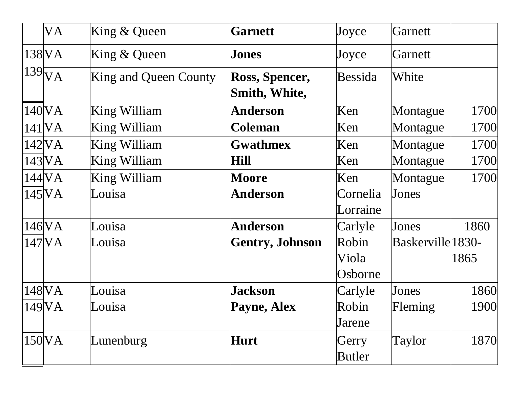| <b>VA</b>             | King $&$ Queen               | <b>Garnett</b>                  | Joyce          | Garnett           |      |
|-----------------------|------------------------------|---------------------------------|----------------|-------------------|------|
| $138\text{VA}$        | King $&$ Queen               | <b>Jones</b>                    | Joyce          | Garnett           |      |
| $139\overline{V}A$    | <b>King and Queen County</b> | Ross, Spencer,<br>Smith, White, | <b>Bessida</b> | White             |      |
| 140 VA                | King William                 | <b>Anderson</b>                 | Ken            | Montague          | 1700 |
| $141$ $VA$            | King William                 | <b>Coleman</b>                  | Ken            | Montague          | 1700 |
| 142 VA                | King William                 | <b>Gwathmex</b>                 | Ken            | Montague          | 1700 |
| $143$ $\overline{VA}$ | King William                 | Hill                            | Ken            | Montague          | 1700 |
| 144 <sup>V</sup> A    | King William                 | <b>Moore</b>                    | Ken            | Montague          | 1700 |
| $145$ $\overline{VA}$ | Louisa                       | <b>Anderson</b>                 | Cornelia       | Jones             |      |
|                       |                              |                                 | Lorraine       |                   |      |
| 146 VA                | Louisa                       | <b>Anderson</b>                 | Carlyle        | Jones             | 1860 |
| $147$ $NA$            | Louisa                       | <b>Gentry, Johnson</b>          | Robin          | Baskerville 1830- |      |
|                       |                              |                                 | Viola          |                   | 1865 |
|                       |                              |                                 | Osborne        |                   |      |
| 148 VA                | Louisa                       | <b>Jackson</b>                  | Carlyle        | Jones             | 1860 |
| 149 VA                | Louisa                       | <b>Payne, Alex</b>              | Robin          | Fleming           | 1900 |
|                       |                              |                                 | Jarene         |                   |      |
| $150\text{VA}$        | Lunenburg                    | <b>Hurt</b>                     | Gerry          | Taylor            | 1870 |
|                       |                              |                                 | <b>Butler</b>  |                   |      |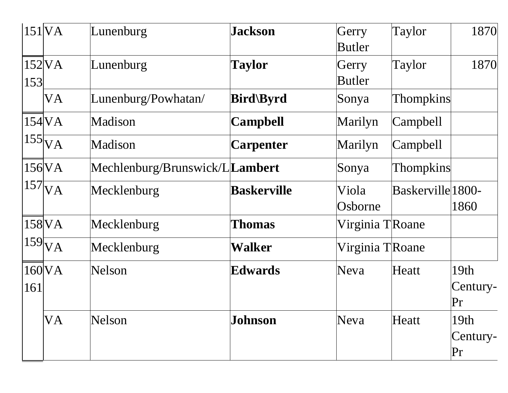|     | $151$ VA            | Lunenburg                      | <b>Jackson</b>     | Gerry<br>Butler  | Taylor            | 1870                   |
|-----|---------------------|--------------------------------|--------------------|------------------|-------------------|------------------------|
| 153 | $152$ VA            | Lunenburg                      | <b>Taylor</b>      | Gerry<br>Butler  | Taylor            | 1870                   |
|     | <b>VA</b>           | Lunenburg/Powhatan/            | <b>Bird</b> \Byrd  | Sonya            | <b>Thompkins</b>  |                        |
|     | 154 <sub>N</sub> A  | Madison                        | <b>Campbell</b>    | Marilyn          | Campbell          |                        |
|     | $155\bar{V}A$       | Madison                        | <b>Carpenter</b>   | Marilyn          | <b>Campbell</b>   |                        |
|     | $156\text{VA}$      | Mechlenburg/Brunswick/LLambert |                    | Sonya            | <b>Thompkins</b>  |                        |
|     | $157$ <sub>VA</sub> | Mecklenburg                    | <b>Baskerville</b> | Viola<br>Osborne | Baskerville 1800- | 1860                   |
|     | $158$ VA            | Mecklenburg                    | <b>Thomas</b>      | Virginia TRoane  |                   |                        |
|     | $159\text{V}A$      | Mecklenburg                    | Walker             | Virginia TRoane  |                   |                        |
| 161 | 160 <sup>V</sup> A  | <b>Nelson</b>                  | Edwards            | Neva             | Heatt             | 19th<br>Century-<br>Pr |
|     | VA                  | Nelson                         | <b>Johnson</b>     | Neva             | Heatt             | 19th<br>Century-<br>Pr |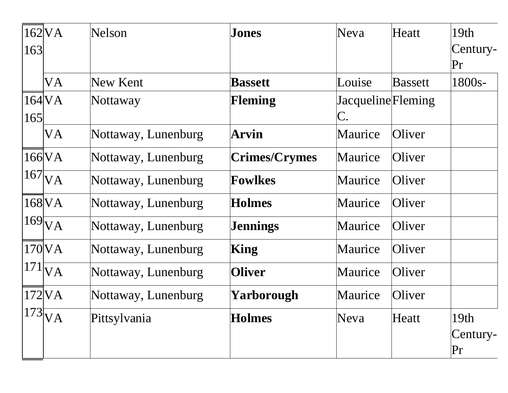| 163 | $162$ VA            | <b>Nelson</b>       | Jones                | <b>Neva</b>                     | Heatt          | 19th<br>Century-<br>Pr |
|-----|---------------------|---------------------|----------------------|---------------------------------|----------------|------------------------|
|     | VA                  | New Kent            | <b>Bassett</b>       | Louise                          | <b>Bassett</b> | 1800s-                 |
| 165 | 164 <sub>N</sub>    | Nottaway            | <b>Fleming</b>       | <b>Jacqueline</b> Fleming<br>C. |                |                        |
|     | VA                  | Nottaway, Lunenburg | Arvin                | Maurice                         | Oliver         |                        |
|     | $166$ VA            | Nottaway, Lunenburg | <b>Crimes/Crymes</b> | Maurice                         | Oliver         |                        |
|     | $167_{VA}$          | Nottaway, Lunenburg | <b>Fowlkes</b>       | Maurice                         | Oliver         |                        |
|     | $168$ <sub>VA</sub> | Nottaway, Lunenburg | <b>Holmes</b>        | Maurice                         | Oliver         |                        |
|     | $169$ <sub>VA</sub> | Nottaway, Lunenburg | <b>Jennings</b>      | Maurice                         | Oliver         |                        |
|     | $170\text{VA}$      | Nottaway, Lunenburg | King                 | Maurice                         | Oliver         |                        |
|     | $171$ <sub>VA</sub> | Nottaway, Lunenburg | <b>Oliver</b>        | Maurice                         | Oliver         |                        |
|     | $172$ VA            | Nottaway, Lunenburg | Yarborough           | Maurice                         | Oliver         |                        |
|     | $173\overline{V}A$  | Pittsylvania        | <b>Holmes</b>        | Neva                            | Heatt          | 19th<br>Century-<br>Pr |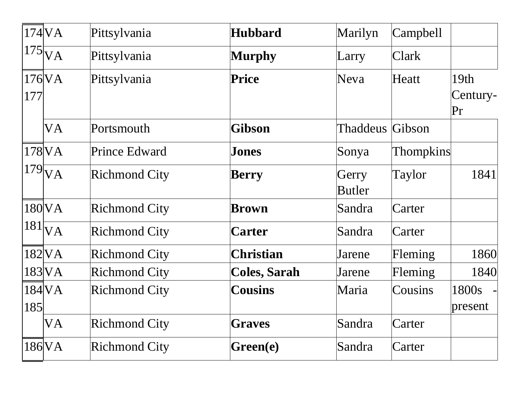|     | $174$ $VA$          | Pittsylvania         | <b>Hubbard</b>      | Marilyn                | Campbell         |                                    |
|-----|---------------------|----------------------|---------------------|------------------------|------------------|------------------------------------|
|     | $175\overline{VA}$  | Pittsylvania         | <b>Murphy</b>       | Larry                  | <b>Clark</b>     |                                    |
| 177 | $176\text{VA}$      | Pittsylvania         | <b>Price</b>        | Neva                   | Heatt            | 19 <sub>th</sub><br>Century-<br>Pr |
|     | VA                  | Portsmouth           | Gibson              | <b>Thaddeus Gibson</b> |                  |                                    |
|     | $178\text{VA}$      | <b>Prince Edward</b> | Jones               | Sonya                  | <b>Thompkins</b> |                                    |
|     | $179$ <sub>VA</sub> | <b>Richmond City</b> | <b>Berry</b>        | Gerry<br><b>Butler</b> | Taylor           | 1841                               |
|     | $180\text{VA}$      | <b>Richmond City</b> | <b>Brown</b>        | Sandra                 | Carter           |                                    |
|     | $ 181 _{VA}$        | <b>Richmond City</b> | <b>Carter</b>       | Sandra                 | Carter           |                                    |
|     | $182$ VA            | <b>Richmond City</b> | <b>Christian</b>    | Jarene                 | Fleming          | 1860                               |
|     | $183$ VA            | <b>Richmond City</b> | <b>Coles, Sarah</b> | Jarene                 | Fleming          | 1840                               |
| 185 | $184\text{VA}$      | <b>Richmond City</b> | <b>Cousins</b>      | Maria                  | Cousins          | 1800s<br>present                   |
|     | VA                  | <b>Richmond City</b> | <b>Graves</b>       | Sandra                 | Carter           |                                    |
|     | $186$ <sub>VA</sub> | <b>Richmond City</b> | Green(e)            | Sandra                 | Carter           |                                    |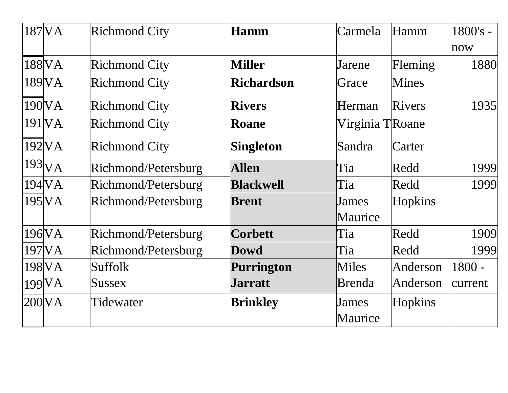| 187 VA                | <b>Richmond City</b> | <b>Hamm</b>       | Carmela          | Hamm         | 1800's -<br>now |
|-----------------------|----------------------|-------------------|------------------|--------------|-----------------|
| 188 VA                | <b>Richmond City</b> | <b>Miller</b>     | Jarene           | Fleming      | 1880            |
| 189 VA                | <b>Richmond City</b> | <b>Richardson</b> | Grace            | <b>Mines</b> |                 |
| $190\text{VA}$        | <b>Richmond City</b> | <b>Rivers</b>     | Herman           | Rivers       | 1935            |
| $191$ $VA$            | <b>Richmond City</b> | <b>Roane</b>      | Virginia TRoane  |              |                 |
| $192$ VA              | <b>Richmond City</b> | <b>Singleton</b>  | Sandra           | Carter       |                 |
| $193\overline{VA}$    | Richmond/Petersburg  | <b>Allen</b>      | Tia              | Redd         | 1999            |
| $194$ VA              | Richmond/Petersburg  | <b>Blackwell</b>  | Tia              | Redd         | 1999            |
| $195$ $\text{VA}$     | Richmond/Petersburg  | <b>Brent</b>      | James<br>Maurice | Hopkins      |                 |
| $196$ <sub>VA</sub>   | Richmond/Petersburg  | <b>Corbett</b>    | Tia              | Redd         | 1909            |
| $197$ $\overline{VA}$ | Richmond/Petersburg  | <b>Dowd</b>       | Tia              | Redd         | 1999            |
| 198 VA                | <b>Suffolk</b>       | <b>Purrington</b> | Miles            | Anderson     | $1800 -$        |
| 199 VA                | Sussex               | <b>Jarratt</b>    | <b>Brenda</b>    | Anderson     | current         |
| $200\text{VA}$        | Tidewater            | <b>Brinkley</b>   | James<br>Maurice | Hopkins      |                 |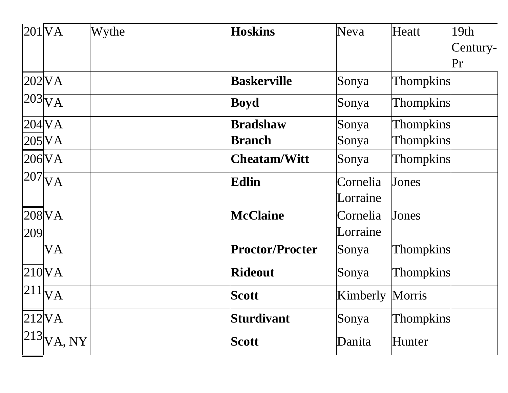| 201 VA |                                | Wythe | <b>Hoskins</b>         | Neva     | Heatt            | 19th<br>Century-<br>Pr |
|--------|--------------------------------|-------|------------------------|----------|------------------|------------------------|
|        | $202$ VA                       |       | <b>Baskerville</b>     | Sonya    | <b>Thompkins</b> |                        |
|        | $ 203 _{\overline{\text{VA}}}$ |       | <b>Boyd</b>            | Sonya    | <b>Thompkins</b> |                        |
|        | 204 VA                         |       | <b>Bradshaw</b>        | Sonya    | <b>Thompkins</b> |                        |
|        | $205$ VA                       |       | <b>Branch</b>          | Sonya    | <b>Thompkins</b> |                        |
|        | $206$ VA                       |       | <b>Cheatam/Witt</b>    | Sonya    | <b>Thompkins</b> |                        |
|        | $ 207 _{\text{VA}}$            |       | Edlin                  | Cornelia | Jones            |                        |
|        |                                |       |                        | Lorraine |                  |                        |
|        | $208$ <sub>VA</sub>            |       | <b>McClaine</b>        | Cornelia | Jones            |                        |
| 209    |                                |       |                        | Lorraine |                  |                        |
|        | VA                             |       | <b>Proctor/Procter</b> | Sonya    | <b>Thompkins</b> |                        |
|        | $210\text{VA}$                 |       | <b>Rideout</b>         | Sonya    | <b>Thompkins</b> |                        |
|        | $ 211 _{\text{VA}}$            |       | <b>Scott</b>           | Kimberly | Morris           |                        |
|        | $212\text{VA}$                 |       | <b>Sturdivant</b>      | Sonya    | <b>Thompkins</b> |                        |
|        | $ 213 \overline{VA}, NY $      |       | <b>Scott</b>           | Danita   | Hunter           |                        |